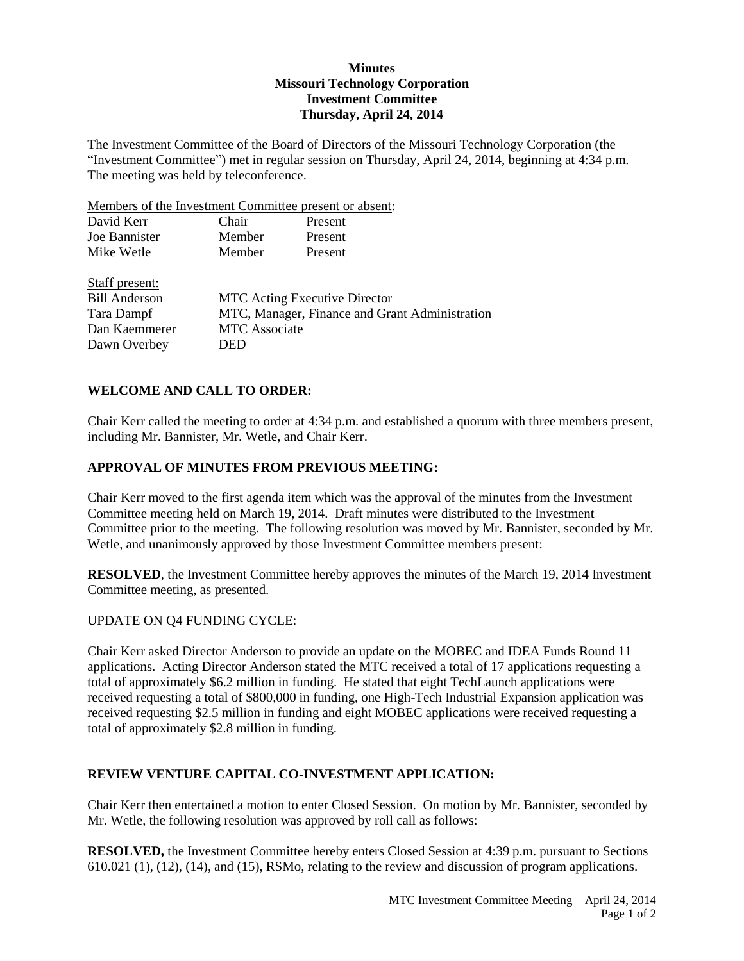## **Minutes Missouri Technology Corporation Investment Committee Thursday, April 24, 2014**

The Investment Committee of the Board of Directors of the Missouri Technology Corporation (the "Investment Committee") met in regular session on Thursday, April 24, 2014, beginning at 4:34 p.m. The meeting was held by teleconference.

Members of the Investment Committee present or absent:

| David Kerr           | Chair                                          | Present |  |
|----------------------|------------------------------------------------|---------|--|
| Joe Bannister        | Member                                         | Present |  |
| Mike Wetle           | Member                                         | Present |  |
| Staff present:       |                                                |         |  |
| <b>Bill Anderson</b> | <b>MTC</b> Acting Executive Director           |         |  |
| Tara Dampf           | MTC, Manager, Finance and Grant Administration |         |  |
| Dan Kaemmerer        | <b>MTC</b> Associate                           |         |  |
| Dawn Overbey         | DED                                            |         |  |

# **WELCOME AND CALL TO ORDER:**

Chair Kerr called the meeting to order at 4:34 p.m. and established a quorum with three members present, including Mr. Bannister, Mr. Wetle, and Chair Kerr.

#### **APPROVAL OF MINUTES FROM PREVIOUS MEETING:**

Chair Kerr moved to the first agenda item which was the approval of the minutes from the Investment Committee meeting held on March 19, 2014. Draft minutes were distributed to the Investment Committee prior to the meeting. The following resolution was moved by Mr. Bannister, seconded by Mr. Wetle, and unanimously approved by those Investment Committee members present:

**RESOLVED**, the Investment Committee hereby approves the minutes of the March 19, 2014 Investment Committee meeting, as presented.

## UPDATE ON Q4 FUNDING CYCLE:

Chair Kerr asked Director Anderson to provide an update on the MOBEC and IDEA Funds Round 11 applications. Acting Director Anderson stated the MTC received a total of 17 applications requesting a total of approximately \$6.2 million in funding. He stated that eight TechLaunch applications were received requesting a total of \$800,000 in funding, one High-Tech Industrial Expansion application was received requesting \$2.5 million in funding and eight MOBEC applications were received requesting a total of approximately \$2.8 million in funding.

## **REVIEW VENTURE CAPITAL CO-INVESTMENT APPLICATION:**

Chair Kerr then entertained a motion to enter Closed Session. On motion by Mr. Bannister, seconded by Mr. Wetle, the following resolution was approved by roll call as follows:

**RESOLVED,** the Investment Committee hereby enters Closed Session at 4:39 p.m. pursuant to Sections 610.021 (1), (12), (14), and (15), RSMo, relating to the review and discussion of program applications.